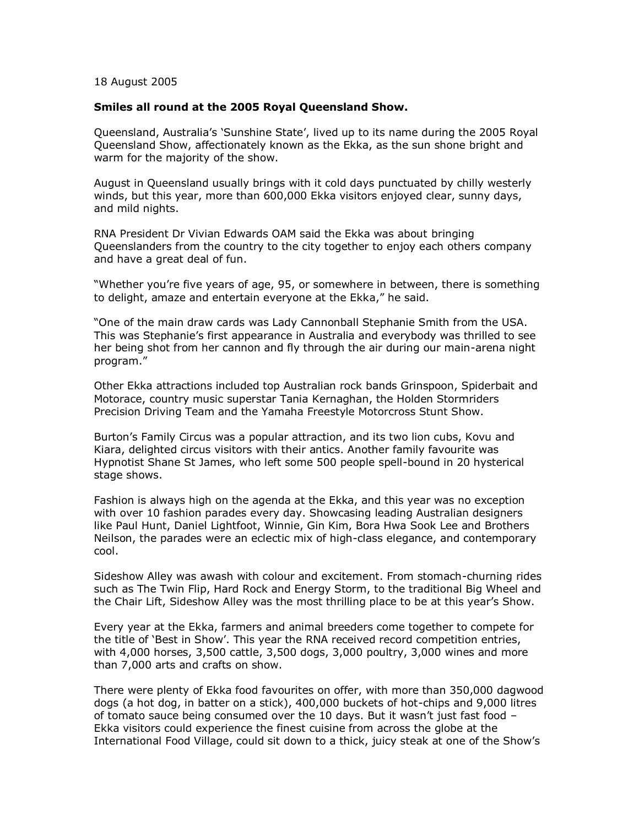## 18 August 2005

## **Smiles all round at the 2005 Royal Queensland Show.**

Queensland, Australia"s "Sunshine State", lived up to its name during the 2005 Royal Queensland Show, affectionately known as the Ekka, as the sun shone bright and warm for the majority of the show.

August in Queensland usually brings with it cold days punctuated by chilly westerly winds, but this year, more than 600,000 Ekka visitors enjoyed clear, sunny days, and mild nights.

RNA President Dr Vivian Edwards OAM said the Ekka was about bringing Queenslanders from the country to the city together to enjoy each others company and have a great deal of fun.

"Whether you"re five years of age, 95, or somewhere in between, there is something to delight, amaze and entertain everyone at the Ekka," he said.

"One of the main draw cards was Lady Cannonball Stephanie Smith from the USA. This was Stephanie"s first appearance in Australia and everybody was thrilled to see her being shot from her cannon and fly through the air during our main-arena night program."

Other Ekka attractions included top Australian rock bands Grinspoon, Spiderbait and Motorace, country music superstar Tania Kernaghan, the Holden Stormriders Precision Driving Team and the Yamaha Freestyle Motorcross Stunt Show.

Burton"s Family Circus was a popular attraction, and its two lion cubs, Kovu and Kiara, delighted circus visitors with their antics. Another family favourite was Hypnotist Shane St James, who left some 500 people spell-bound in 20 hysterical stage shows.

Fashion is always high on the agenda at the Ekka, and this year was no exception with over 10 fashion parades every day. Showcasing leading Australian designers like Paul Hunt, Daniel Lightfoot, Winnie, Gin Kim, Bora Hwa Sook Lee and Brothers Neilson, the parades were an eclectic mix of high-class elegance, and contemporary cool.

Sideshow Alley was awash with colour and excitement. From stomach-churning rides such as The Twin Flip, Hard Rock and Energy Storm, to the traditional Big Wheel and the Chair Lift, Sideshow Alley was the most thrilling place to be at this year's Show.

Every year at the Ekka, farmers and animal breeders come together to compete for the title of "Best in Show". This year the RNA received record competition entries, with 4,000 horses, 3,500 cattle, 3,500 dogs, 3,000 poultry, 3,000 wines and more than 7,000 arts and crafts on show.

There were plenty of Ekka food favourites on offer, with more than 350,000 dagwood dogs (a hot dog, in batter on a stick), 400,000 buckets of hot-chips and 9,000 litres of tomato sauce being consumed over the 10 days. But it wasn"t just fast food – Ekka visitors could experience the finest cuisine from across the globe at the International Food Village, could sit down to a thick, juicy steak at one of the Show"s